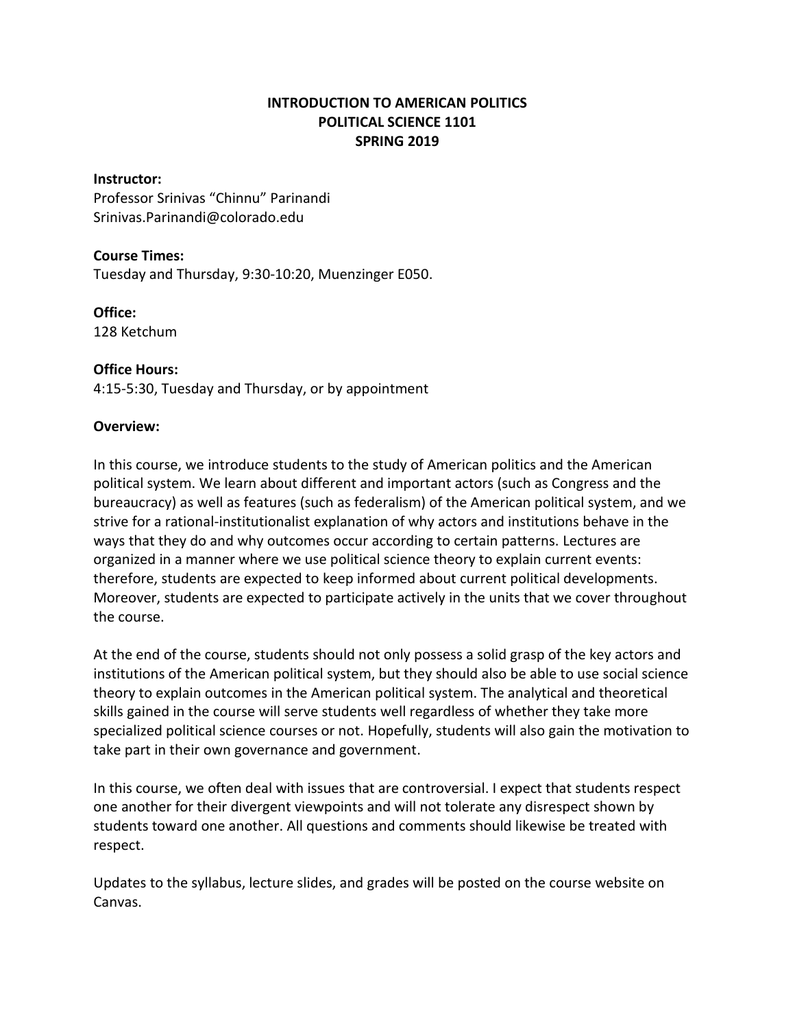# **INTRODUCTION TO AMERICAN POLITICS POLITICAL SCIENCE 1101 SPRING 2019**

### **Instructor:**

Professor Srinivas "Chinnu" Parinandi Srinivas.Parinandi@colorado.edu

#### **Course Times:**

Tuesday and Thursday, 9:30-10:20, Muenzinger E050.

#### **Office:**

128 Ketchum

#### **Office Hours:**

4:15-5:30, Tuesday and Thursday, or by appointment

#### **Overview:**

In this course, we introduce students to the study of American politics and the American political system. We learn about different and important actors (such as Congress and the bureaucracy) as well as features (such as federalism) of the American political system, and we strive for a rational-institutionalist explanation of why actors and institutions behave in the ways that they do and why outcomes occur according to certain patterns. Lectures are organized in a manner where we use political science theory to explain current events: therefore, students are expected to keep informed about current political developments. Moreover, students are expected to participate actively in the units that we cover throughout the course.

At the end of the course, students should not only possess a solid grasp of the key actors and institutions of the American political system, but they should also be able to use social science theory to explain outcomes in the American political system. The analytical and theoretical skills gained in the course will serve students well regardless of whether they take more specialized political science courses or not. Hopefully, students will also gain the motivation to take part in their own governance and government.

In this course, we often deal with issues that are controversial. I expect that students respect one another for their divergent viewpoints and will not tolerate any disrespect shown by students toward one another. All questions and comments should likewise be treated with respect.

Updates to the syllabus, lecture slides, and grades will be posted on the course website on Canvas.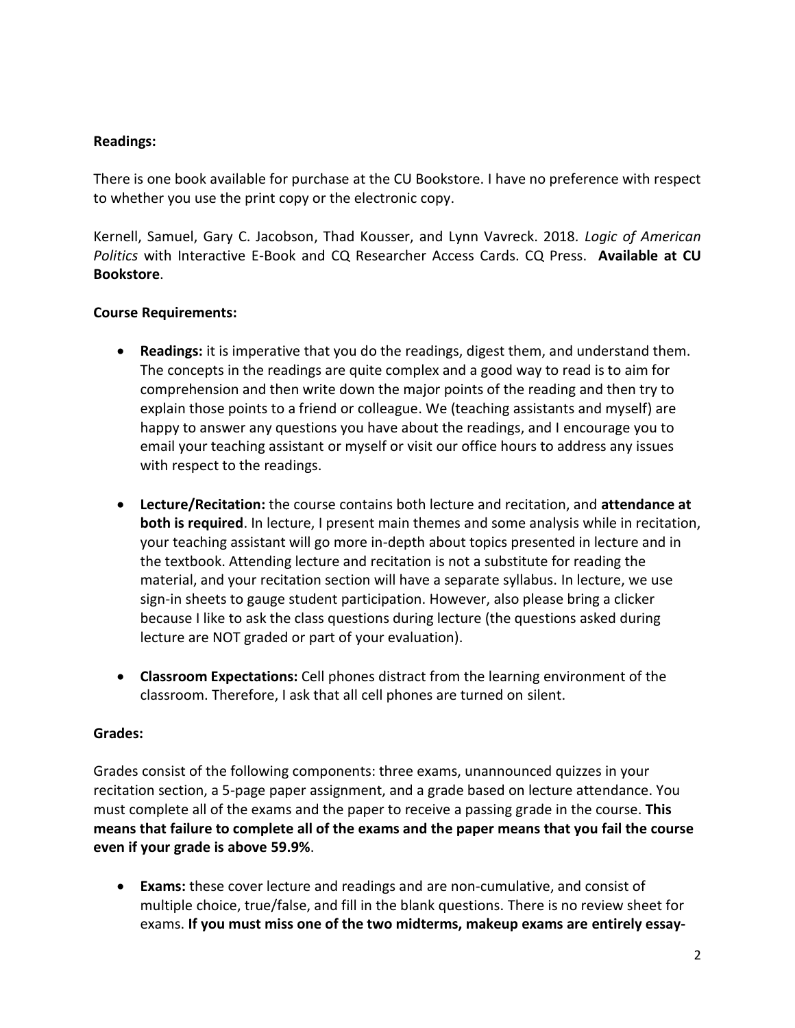# **Readings:**

There is one book available for purchase at the CU Bookstore. I have no preference with respect to whether you use the print copy or the electronic copy.

Kernell, Samuel, Gary C. Jacobson, Thad Kousser, and Lynn Vavreck. 2018*. Logic of American Politics* with Interactive E-Book and CQ Researcher Access Cards. CQ Press. **Available at CU Bookstore**.

## **Course Requirements:**

- **Readings:** it is imperative that you do the readings, digest them, and understand them. The concepts in the readings are quite complex and a good way to read is to aim for comprehension and then write down the major points of the reading and then try to explain those points to a friend or colleague. We (teaching assistants and myself) are happy to answer any questions you have about the readings, and I encourage you to email your teaching assistant or myself or visit our office hours to address any issues with respect to the readings.
- **Lecture/Recitation:** the course contains both lecture and recitation, and **attendance at both is required**. In lecture, I present main themes and some analysis while in recitation, your teaching assistant will go more in-depth about topics presented in lecture and in the textbook. Attending lecture and recitation is not a substitute for reading the material, and your recitation section will have a separate syllabus. In lecture, we use sign-in sheets to gauge student participation. However, also please bring a clicker because I like to ask the class questions during lecture (the questions asked during lecture are NOT graded or part of your evaluation).
- **Classroom Expectations:** Cell phones distract from the learning environment of the classroom. Therefore, I ask that all cell phones are turned on silent.

### **Grades:**

Grades consist of the following components: three exams, unannounced quizzes in your recitation section, a 5-page paper assignment, and a grade based on lecture attendance. You must complete all of the exams and the paper to receive a passing grade in the course. **This means that failure to complete all of the exams and the paper means that you fail the course even if your grade is above 59.9%**.

 **Exams:** these cover lecture and readings and are non-cumulative, and consist of multiple choice, true/false, and fill in the blank questions. There is no review sheet for exams. **If you must miss one of the two midterms, makeup exams are entirely essay-**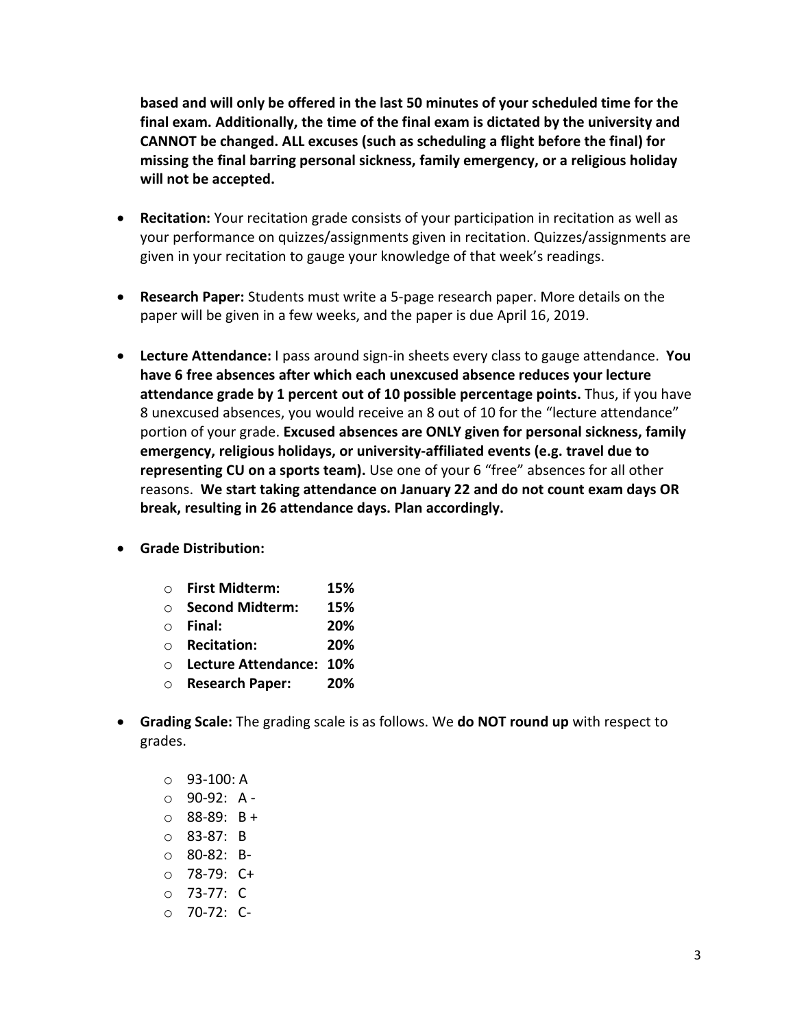**based and will only be offered in the last 50 minutes of your scheduled time for the final exam. Additionally, the time of the final exam is dictated by the university and CANNOT be changed. ALL excuses (such as scheduling a flight before the final) for missing the final barring personal sickness, family emergency, or a religious holiday will not be accepted.**

- **Recitation:** Your recitation grade consists of your participation in recitation as well as your performance on quizzes/assignments given in recitation. Quizzes/assignments are given in your recitation to gauge your knowledge of that week's readings.
- **Research Paper:** Students must write a 5-page research paper. More details on the paper will be given in a few weeks, and the paper is due April 16, 2019.
- **Lecture Attendance:** I pass around sign-in sheets every class to gauge attendance. **You have 6 free absences after which each unexcused absence reduces your lecture attendance grade by 1 percent out of 10 possible percentage points.** Thus, if you have 8 unexcused absences, you would receive an 8 out of 10 for the "lecture attendance" portion of your grade. **Excused absences are ONLY given for personal sickness, family emergency, religious holidays, or university-affiliated events (e.g. travel due to representing CU on a sports team).** Use one of your 6 "free" absences for all other reasons. **We start taking attendance on January 22 and do not count exam days OR break, resulting in 26 attendance days. Plan accordingly.**
- **Grade Distribution:**

| 15% |
|-----|
|     |

- o **Second Midterm: 15%**
- o **Final: 20%**
- o **Recitation: 20%**
- o **Lecture Attendance: 10%**
- o **Research Paper: 20%**
- **Grading Scale:** The grading scale is as follows. We **do NOT round up** with respect to grades.
	- $O$  93-100: A
	- $O$  90-92: A -
	- o 88-89: B +
	- o 83-87: B
	- o 80-82: B-
	- o 78-79: C+
	- o 73-77: C
	- o 70-72: C-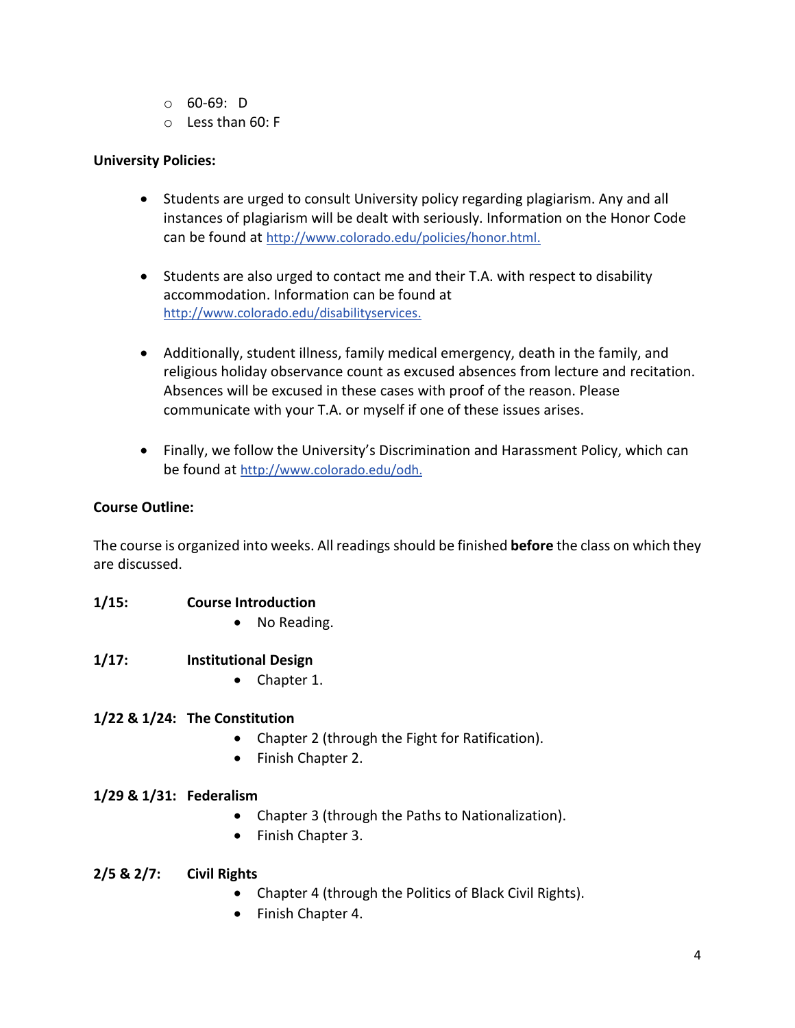- o 60-69: D
- o Less than 60: F

# **University Policies:**

- Students are urged to consult University policy regarding plagiarism. Any and all instances of plagiarism will be dealt with seriously. Information on the Honor Code can be found at [http://www.colorado.edu/policies/honor.html.](http://www.colorado.edu/policies/honor.html)
- Students are also urged to contact me and their T.A. with respect to disability accommodation. Information can be found at [http://www.colorado.edu/disabilityservices.](http://www.colorado.edu/disabilityservices)
- Additionally, student illness, family medical emergency, death in the family, and religious holiday observance count as excused absences from lecture and recitation. Absences will be excused in these cases with proof of the reason. Please communicate with your T.A. or myself if one of these issues arises.
- Finally, we follow the University's Discrimination and Harassment Policy, which can be found at [http://www.colorado.edu/odh.](http://www.colorado.edu/odh)

## **Course Outline:**

The course is organized into weeks. All readings should be finished **before** the class on which they are discussed.

- **1/15: Course Introduction**
	- No Reading.
- **1/17: Institutional Design**
	- Chapter 1.

### **1/22 & 1/24: The Constitution**

- Chapter 2 (through the Fight for Ratification).
- Finish Chapter 2.

### **1/29 & 1/31: Federalism**

- Chapter 3 (through the Paths to Nationalization).
- Finish Chapter 3.

### **2/5 & 2/7: Civil Rights**

- Chapter 4 (through the Politics of Black Civil Rights).
- Finish Chapter 4.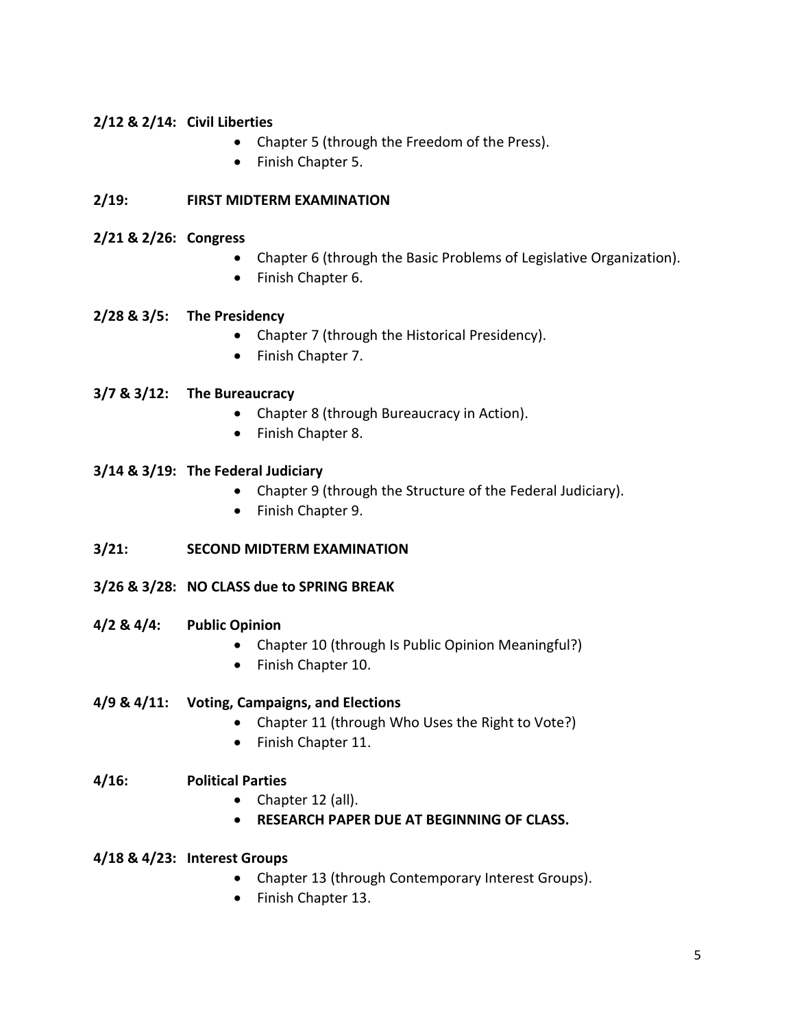# **2/12 & 2/14: Civil Liberties**

- Chapter 5 (through the Freedom of the Press).
- Finish Chapter 5.

## **2/19: FIRST MIDTERM EXAMINATION**

### **2/21 & 2/26: Congress**

- Chapter 6 (through the Basic Problems of Legislative Organization).
- Finish Chapter 6.

### **2/28 & 3/5: The Presidency**

- Chapter 7 (through the Historical Presidency).
- Finish Chapter 7.

### **3/7 & 3/12: The Bureaucracy**

- Chapter 8 (through Bureaucracy in Action).
- Finish Chapter 8.

#### **3/14 & 3/19: The Federal Judiciary**

- Chapter 9 (through the Structure of the Federal Judiciary).
- Finish Chapter 9.

### **3/21: SECOND MIDTERM EXAMINATION**

- **3/26 & 3/28: NO CLASS due to SPRING BREAK**
- **4/2 & 4/4: Public Opinion**
	- Chapter 10 (through Is Public Opinion Meaningful?)
	- Finish Chapter 10.

### **4/9 & 4/11: Voting, Campaigns, and Elections**

- Chapter 11 (through Who Uses the Right to Vote?)
- Finish Chapter 11.

### **4/16: Political Parties**

- Chapter 12 (all).
- **RESEARCH PAPER DUE AT BEGINNING OF CLASS.**

#### **4/18 & 4/23: Interest Groups**

- Chapter 13 (through Contemporary Interest Groups).
- Finish Chapter 13.